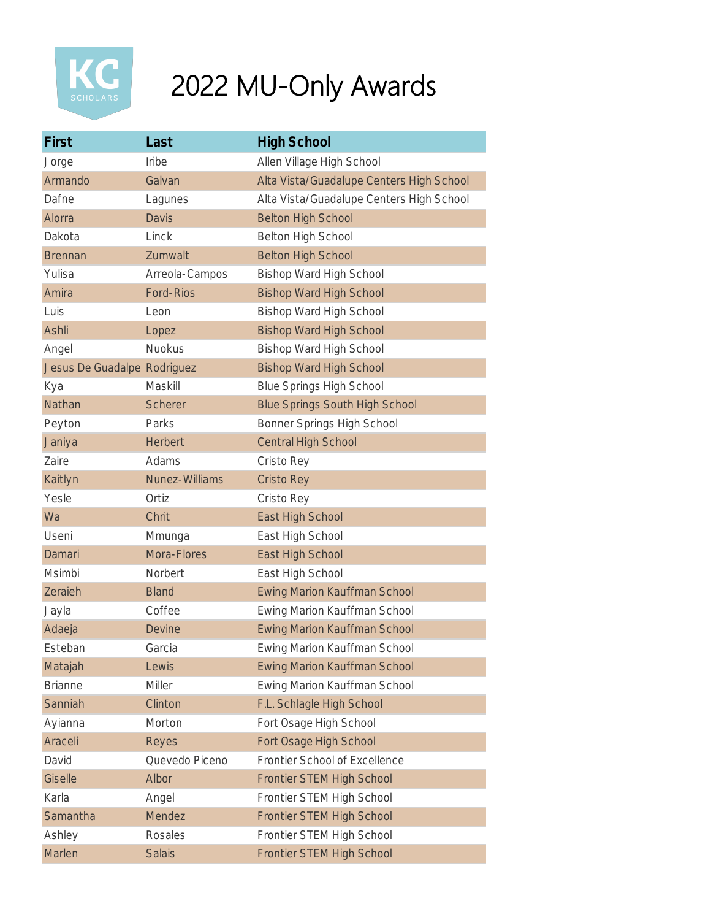

## 2022 MU-Only Awards

| First                       | Last             | <b>High School</b>                       |
|-----------------------------|------------------|------------------------------------------|
| Jorge                       | Iribe            | Allen Village High School                |
| Armando                     | Galvan           | Alta Vista/Guadalupe Centers High School |
| Dafne                       | Lagunes          | Alta Vista/Guadalupe Centers High School |
| Alorra                      | <b>Davis</b>     | <b>Belton High School</b>                |
| Dakota                      | Linck            | Belton High School                       |
| <b>Brennan</b>              | Zumwalt          | <b>Belton High School</b>                |
| Yulisa                      | Arreola-Campos   | Bishop Ward High School                  |
| Amira                       | <b>Ford-Rios</b> | <b>Bishop Ward High School</b>           |
| Luis                        | Leon             | Bishop Ward High School                  |
| Ashli                       | Lopez            | <b>Bishop Ward High School</b>           |
| Angel                       | <b>Nuokus</b>    | Bishop Ward High School                  |
| Jesus De Guadalpe Rodriguez |                  | <b>Bishop Ward High School</b>           |
| Kya                         | Maskill          | <b>Blue Springs High School</b>          |
| Nathan                      | <b>Scherer</b>   | <b>Blue Springs South High School</b>    |
| Peyton                      | Parks            | Bonner Springs High School               |
| Janiya                      | <b>Herbert</b>   | <b>Central High School</b>               |
| Zaire                       | Adams            | Cristo Rey                               |
| Kaitlyn                     | Nunez-Williams   | <b>Cristo Rey</b>                        |
| Yesle                       | Ortiz            | Cristo Rey                               |
| Wa                          | Chrit            | East High School                         |
| Useni                       | Mmunga           | East High School                         |
| Damari                      | Mora-Flores      | East High School                         |
| Msimbi                      | Norbert          | East High School                         |
| Zeraieh                     | <b>Bland</b>     | <b>Ewing Marion Kauffman School</b>      |
| Jayla                       | Coffee           | Ewing Marion Kauffman School             |
| Adaeja                      | <b>Devine</b>    | <b>Ewing Marion Kauffman School</b>      |
| Esteban                     | Garcia           | Ewing Marion Kauffman School             |
| Matajah                     | Lewis            | <b>Ewing Marion Kauffman School</b>      |
| <b>Brianne</b>              | Miller           | Ewing Marion Kauffman School             |
| Sanniah                     | Clinton          | F.L. Schlagle High School                |
| Ayianna                     | Morton           | Fort Osage High School                   |
| Araceli                     | Reyes            | Fort Osage High School                   |
| David                       | Quevedo Piceno   | Frontier School of Excellence            |
| Giselle                     | Albor            | Frontier STEM High School                |
| Karla                       | Angel            | Frontier STEM High School                |
| Samantha                    | Mendez           | Frontier STEM High School                |
| Ashley                      | Rosales          | Frontier STEM High School                |
| Marlen                      | <b>Salais</b>    | Frontier STEM High School                |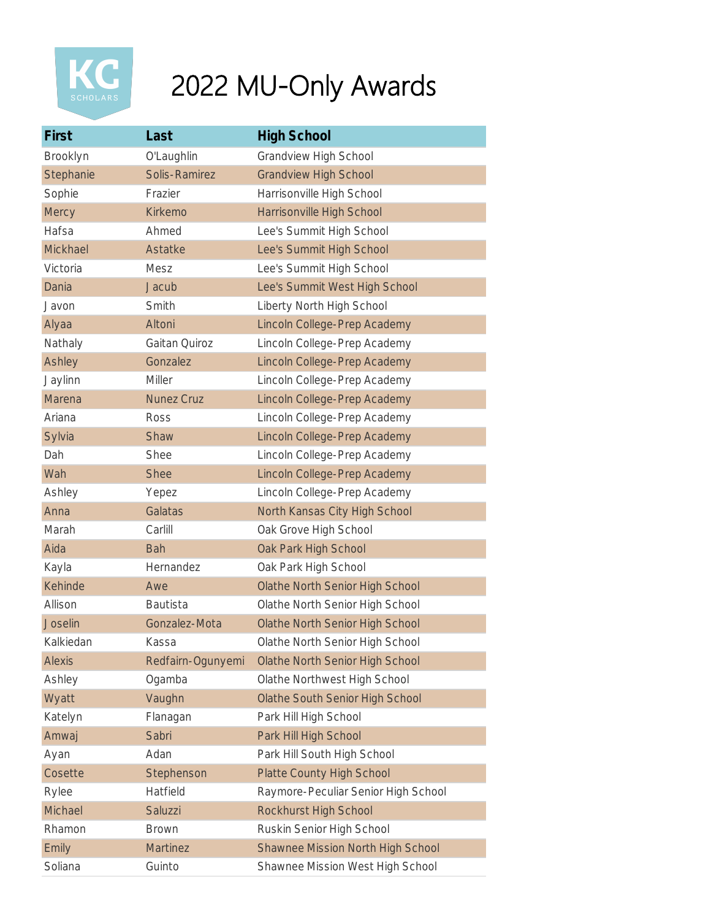

## 2022 MU-Only Awards

| First          | Last              | <b>High School</b>                       |
|----------------|-------------------|------------------------------------------|
| Brooklyn       | O'Laughlin        | <b>Grandview High School</b>             |
| Stephanie      | Solis-Ramirez     | <b>Grandview High School</b>             |
| Sophie         | Frazier           | Harrisonville High School                |
| Mercy          | Kirkemo           | Harrisonville High School                |
| Hafsa          | Ahmed             | Lee's Summit High School                 |
| Mickhael       | Astatke           | Lee's Summit High School                 |
| Victoria       | Mesz              | Lee's Summit High School                 |
| Dania          | Jacub             | Lee's Summit West High School            |
| Javon          | Smith             | Liberty North High School                |
| Alyaa          | Altoni            | Lincoln College-Prep Academy             |
| Nathaly        | Gaitan Quiroz     | Lincoln College-Prep Academy             |
| Ashley         | Gonzalez          | Lincoln College-Prep Academy             |
| Jaylinn        | <b>Miller</b>     | Lincoln College-Prep Academy             |
| Marena         | <b>Nunez Cruz</b> | Lincoln College-Prep Academy             |
| Ariana         | Ross              | Lincoln College-Prep Academy             |
| Sylvia         | Shaw              | Lincoln College-Prep Academy             |
| Dah            | Shee              | Lincoln College-Prep Academy             |
| Wah            | <b>Shee</b>       | Lincoln College-Prep Academy             |
| Ashley         | Yepez             | Lincoln College-Prep Academy             |
| Anna           | Galatas           | North Kansas City High School            |
| Marah          | Carlill           | Oak Grove High School                    |
| Aida           | <b>Bah</b>        | Oak Park High School                     |
| Kayla          | Hernandez         | Oak Park High School                     |
| Kehinde        | Awe               | Olathe North Senior High School          |
| Allison        | <b>Bautista</b>   | Olathe North Senior High School          |
| <b>Joselin</b> | Gonzalez-Mota     | Olathe North Senior High School          |
| Kalkiedan      | Kassa             | Olathe North Senior High School          |
| <b>Alexis</b>  | Redfairn-Ogunyemi | <b>Olathe North Senior High School</b>   |
| Ashley         | Ogamba            | Olathe Northwest High School             |
| Wyatt          | Vaughn            | Olathe South Senior High School          |
| Katelyn        | Flanagan          | Park Hill High School                    |
| Amwaj          | Sabri             | Park Hill High School                    |
| Ayan           | Adan              | Park Hill South High School              |
| Cosette        | Stephenson        | <b>Platte County High School</b>         |
| Rylee          | Hatfield          | Raymore-Peculiar Senior High School      |
| Michael        | Saluzzi           | Rockhurst High School                    |
| Rhamon         | <b>Brown</b>      | Ruskin Senior High School                |
| Emily          | <b>Martinez</b>   | <b>Shawnee Mission North High School</b> |
| Soliana        | Guinto            | Shawnee Mission West High School         |